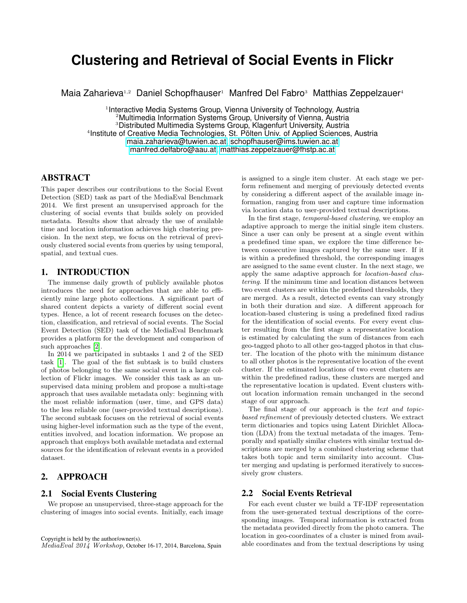# **Clustering and Retrieval of Social Events in Flickr**

Maia Zaharieva<sup>1,2</sup> Daniel Schopfhauser<sup>1</sup> Manfred Del Fabro<sup>3</sup> Matthias Zeppelzauer<sup>4</sup>

<sup>1</sup> Interactive Media Systems Group, Vienna University of Technology, Austria <sup>2</sup>Multimedia Information Systems Group, University of Vienna, Austria <sup>3</sup>Distributed Multimedia Systems Group, Klagenfurt University, Austria 4 Institute of Creative Media Technologies, St. Pölten Univ. of Applied Sciences, Austria [maia.zaharieva@tuwien.ac.at,](mailto:maia.zaharieva@tuwien.ac.at) [schopfhauser@ims.tuwien.ac.at](mailto:schopfhauser@ims.tuwien.ac.at) [manfred.delfabro@aau.at,](mailto:manfred.delfabro@aau.at) [matthias.zeppelzauer@fhstp.ac.at](mailto:matthais.zeppelzauer@fhstp.ac.at)

## ABSTRACT

This paper describes our contributions to the Social Event Detection (SED) task as part of the MediaEval Benchmark 2014. We first present an unsupervised approach for the clustering of social events that builds solely on provided metadata. Results show that already the use of available time and location information achieves high clustering precision. In the next step, we focus on the retrieval of previously clustered social events from queries by using temporal, spatial, and textual cues.

## 1. INTRODUCTION

The immense daily growth of publicly available photos introduces the need for approaches that are able to efficiently mine large photo collections. A significant part of shared content depicts a variety of different social event types. Hence, a lot of recent research focuses on the detection, classification, and retrieval of social events. The Social Event Detection (SED) task of the MediaEval Benchmark provides a platform for the development and comparison of such approaches [\[2\]](#page-1-0).

In 2014 we participated in subtasks 1 and 2 of the SED task [\[1\]](#page-1-1). The goal of the fist subtask is to build clusters of photos belonging to the same social event in a large collection of Flickr images. We consider this task as an unsupervised data mining problem and propose a multi-stage approach that uses available metadata only: beginning with the most reliable information (user, time, and GPS data) to the less reliable one (user-provided textual descriptions). The second subtask focuses on the retrieval of social events using higher-level information such as the type of the event, entities involved, and location information. We propose an approach that employs both available metadata and external sources for the identification of relevant events in a provided dataset.

## 2. APPROACH

#### 2.1 Social Events Clustering

We propose an unsupervised, three-stage approach for the clustering of images into social events. Initially, each image is assigned to a single item cluster. At each stage we perform refinement and merging of previously detected events by considering a different aspect of the available image information, ranging from user and capture time information via location data to user-provided textual descriptions.

In the first stage, temporal-based clustering, we employ an adaptive approach to merge the initial single item clusters. Since a user can only be present at a single event within a predefined time span, we explore the time difference between consecutive images captured by the same user. If it is within a predefined threshold, the corresponding images are assigned to the same event cluster. In the next stage, we apply the same adaptive approach for location-based clustering. If the minimum time and location distances between two event clusters are within the predefined thresholds, they are merged. As a result, detected events can vary strongly in both their duration and size. A different approach for location-based clustering is using a predefined fixed radius for the identification of social events. For every event cluster resulting from the first stage a representative location is estimated by calculating the sum of distances from each geo-tagged photo to all other geo-tagged photos in that cluster. The location of the photo with the minimum distance to all other photos is the representative location of the event cluster. If the estimated locations of two event clusters are within the predefined radius, these clusters are merged and the representative location is updated. Event clusters without location information remain unchanged in the second stage of our approach.

The final stage of our approach is the text and topicbased refinement of previously detected clusters. We extract term dictionaries and topics using Latent Dirichlet Allocation (LDA) from the textual metadata of the images. Temporally and spatially similar clusters with similar textual descriptions are merged by a combined clustering scheme that takes both topic and term similarity into account. Cluster merging and updating is performed iteratively to successively grow clusters.

## 2.2 Social Events Retrieval

For each event cluster we build a TF-IDF representation from the user-generated textual descriptions of the corresponding images. Temporal information is extracted from the metadata provided directly from the photo camera. The location in geo-coordinates of a cluster is mined from available coordinates and from the textual descriptions by using

Copyright is held by the author/owner(s).

MediaEval 2014 Workshop, October 16-17, 2014, Barcelona, Spain